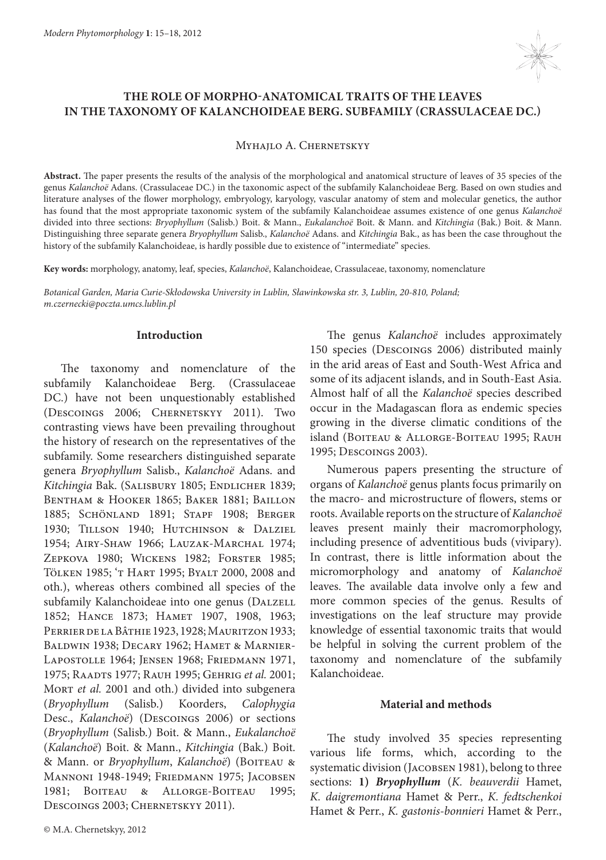

# **THE ROLE OF MORPHO-ANATOMICAL TRAITS OF THE LEAVES IN THE TAXONOMY OF KALANCHOIDEAE BERG. SUBFAMILY (CRASSULACEAE DC.)**

Myhajlo A. Chernetskyy

**Abstract.** The paper presents the results of the analysis of the morphological and anatomical structure of leaves of 35 species of the genus *Kalanchoë* Adans. (Crassulaceae DC.) in the taxonomic aspect of the subfamily Kalanchoideae Berg. Based on own studies and literature analyses of the flower morphology, embryology, karyology, vascular anatomy of stem and molecular genetics, the author has found that the most appropriate taxonomic system of the subfamily Kalanchoideae assumes existence of one genus *Kalanchoë* divided into three sections: *Bryophyllum* (Salisb.) Boit. & Mann., *Eukalanchoë* Boit. & Mann. and *Kitchingia* (Bak.) Boit. & Mann. Distinguishing three separate genera *Bryophyllum* Salisb., *Kalanchoё* Adans. and *Kitchingia* Bak., as has been the case throughout the history of the subfamily Kalanchoideae, is hardly possible due to existence of "intermediate" species.

**Key words:** morphology, anatomy, leaf, species, *Kalanchoë*, Kalanchoideae, Crassulaceae, taxonomy, nomenclature

*Botanical Garden, Maria Curie-Skłodowska University in Lublin, Sławinkowska str. 3, Lublin, 20-810, Poland; m.czernecki@poczta.umcs.lublin.pl*

### **Introduction**

The taxonomy and nomenclature of the subfamily Kalanchoideae Berg. (Crassulaceae DC.) have not been unquestionably established (Descoings 2006; Chernetskyy 2011). Two contrasting views have been prevailing throughout the history of research on the representatives of the subfamily. Some researchers distinguished separate genera *Bryophyllum* Salisb., *Kalanchoë* Adans. and Kitchingia Bak. (SALISBURY 1805; ENDLICHER 1839; BENTHAM & HOOKER 1865; BAKER 1881; BAILLON 1885; Schönland 1891; Stapf 1908; Berger 1930; Tillson 1940; Hutchinson & Dalziel 1954; Airy-Shaw 1966; Lauzak-Marchal 1974; Zepkova 1980; Wickens 1982; Forster 1985; Tölken 1985; 't Hart 1995; Byalt 2000, 2008 and oth.), whereas others combined all species of the subfamily Kalanchoideae into one genus (DALZELL 1852; Hance 1873; Hamet 1907, 1908, 1963; Perrier de la Bâthie 1923, 1928; Mauritzon 1933; BALDWIN 1938; DECARY 1962; HAMET & MARNIER-Lapostolle 1964; Jensen 1968; Friedmann 1971, 1975; Raadts 1977; Rauh 1995; Gehrig *et al.* 2001; MORT *et al.* 2001 and oth.) divided into subgenera (*Bryophyllum* (Salisb.) Koorders, *Calophygia* Desc., *Kalanchoë*) (Descoings 2006) or sections (*Bryophyllum* (Salisb.) Boit. & Mann., *Eukalanchoë* (*Kalanchoë*) Boit. & Mann., *Kitchingia* (Bak.) Boit.  $\&$  Mann. or *Bryophyllum*, *Kalanchoë*) (BOITEAU & Mannoni 1948-1949; Friedmann 1975; Jacobsen 1981; Boiteau & Allorge-Boiteau 1995; DESCOINGS 2003; CHERNETSKYY 2011).

The genus *Kalanchoë* includes approximately 150 species (Descoings 2006) distributed mainly in the arid areas of East and South-West Africa and some of its adjacent islands, and in South-East Asia. Almost half of all the *Kalanchoë* species described occur in the Madagascan flora as endemic species growing in the diverse climatic conditions of the island (BOITEAU & ALLORGE-BOITEAU 1995; RAUH 1995; Descoings 2003).

Numerous papers presenting the structure of organs of *Kalanchoё* genus plants focus primarily on the macro- and microstructure of flowers, stems or roots. Available reports on the structure of *Kalanchoё* leaves present mainly their macromorphology, including presence of adventitious buds (vivipary). In contrast, there is little information about the micromorphology and anatomy of *Kalanchoё* leaves. The available data involve only a few and more common species of the genus. Results of investigations on the leaf structure may provide knowledge of essential taxonomic traits that would be helpful in solving the current problem of the taxonomy and nomenclature of the subfamily Kalanchoideae.

## **Material and methods**

The study involved 35 species representing various life forms, which, according to the systematic division (Jacobsen 1981), belong to three sections: **1)** *Bryophyllum* (*K. beauverdii* Hamet, *K. daigremontiana* Hamet & Perr., *K. fedtschenkoi*  Hamet & Perr., *K. gastonis-bonnieri* Hamet & Perr.,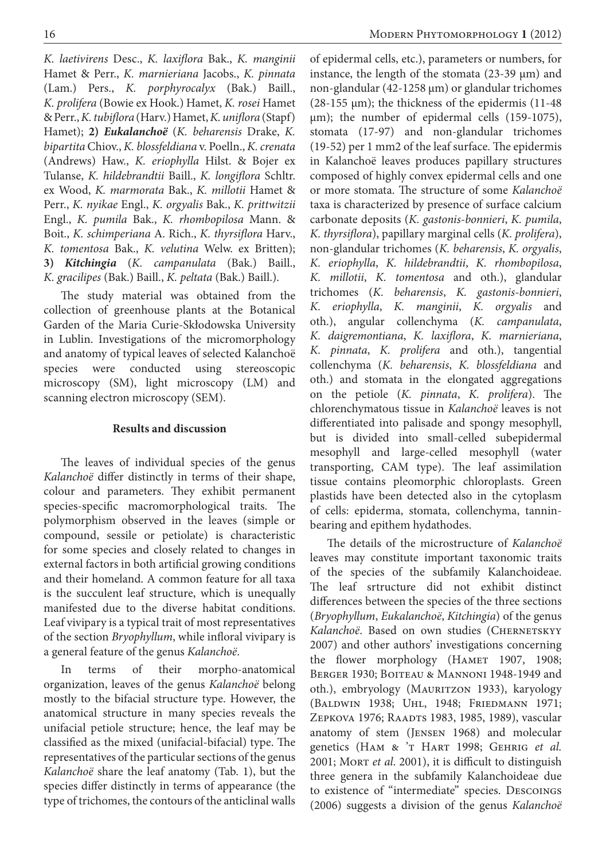*K. laetivirens* Desc., *K. laxiflora* Bak., *K. manginii* Hamet & Perr., *K. marnieriana* Jacobs., *K. pinnata* (Lam.) Pers., *K. porphyrocalyx* (Bak.) Baill., *K. prolifera* (Bowie ex Hook.) Hamet, *K. rosei* Hamet & Perr., *K. tubiflora* (Harv.) Hamet, *K. uniflora* (Stapf) Hamet); **2)** *Eukalanchoё* (*K. beharensis* Drake, *K. bipartita* Chiov., *K. blossfeldiana* v. Poelln., *K. crenata* (Andrews) Haw., *K. eriophylla* Hilst. & Bojer ex Tulanse, *K. hildebrandtii* Baill., *K. longiflora* Schltr. ex Wood, *K. marmorata* Bak., *K. millotii* Hamet & Perr., *K. nyikae* Engl., *K. orgyalis* Bak., *K. prittwitzii* Engl., *K. pumila* Bak., *K. rhombopilosa* Mann. & Boit., *K. schimperiana* A. Rich., *K. thyrsiflora* Harv., *K. tomentosa* Bak., *K. velutina* Welw. ex Britten); **3)**  *Kitchingia* (*K. campanulata* (Bak.) Baill., *K. gracilipes* (Bak.) Baill., *K. peltata* (Bak.) Baill.).

The study material was obtained from the collection of greenhouse plants at the Botanical Garden of the Maria Curie-Skłodowska University in Lublin. Investigations of the micromorphology and anatomy of typical leaves of selected Kalanchoë species were conducted using stereoscopic microscopy (SM), light microscopy (LM) and scanning electron microscopy (SEM).

## **Results and discussion**

The leaves of individual species of the genus *Kalanchoë* differ distinctly in terms of their shape, colour and parameters. They exhibit permanent species-specific macromorphological traits. The polymorphism observed in the leaves (simple or compound, sessile or petiolate) is characteristic for some species and closely related to changes in external factors in both artificial growing conditions and their homeland. A common feature for all taxa is the succulent leaf structure, which is unequally manifested due to the diverse habitat conditions. Leaf vivipary is a typical trait of most representatives of the section *Bryophyllum*, while infloral vivipary is a general feature of the genus *Kalanchoë*.

In terms of their morpho-anatomical organization, leaves of the genus *Kalanchoё* belong mostly to the bifacial structure type. However, the anatomical structure in many species reveals the unifacial petiole structure; hence, the leaf may be classified as the mixed (unifacial-bifacial) type. The representatives of the particular sections of the genus *Kalanchoё* share the leaf anatomy (Tab. 1), but the species differ distinctly in terms of appearance (the type of trichomes, the contours of the anticlinal walls

of epidermal cells, etc.), parameters or numbers, for instance, the length of the stomata (23-39 μm) and non-glandular (42-1258 μm) or glandular trichomes (28-155 μm); the thickness of the epidermis (11-48 μm); the number of epidermal cells (159-1075), stomata (17-97) and non-glandular trichomes (19-52) per 1 mm2 of the leaf surface. The epidermis in Kalanchoё leaves produces papillary structures composed of highly convex epidermal cells and one or more stomata. The structure of some *Kalanchoё* taxa is characterized by presence of surface calcium carbonate deposits (*K. gastonis-bonnieri*, *K. pumila*, *K. thyrsiflora*), papillary marginal cells (*K. prolifera*), non-glandular trichomes (*K. beharensis*, *K. orgyalis*, *K. eriophylla*, *K. hildebrandtii*, *K. rhombopilosa*, *K. millotii*, *K. tomentosa* and oth.), glandular trichomes (*K. beharensis*, *K. gastonis-bonnieri*, *K. eriophylla*, *K. manginii*, *K. orgyalis* and oth.), angular collenchyma (*K. campanulata*, *K. daigremontiana*, *K. laxiflora*, *K. marnieriana*, *K. pinnata*, *K. prolifera* and oth.), tangential collenchyma (*K. beharensis*, *K. blossfeldiana* and oth.) and stomata in the elongated aggregations on the petiole (*K. pinnata*, *K. prolifera*). The chlorenchymatous tissue in *Kalanchoё* leaves is not differentiated into palisade and spongy mesophyll, but is divided into small-celled subepidermal mesophyll and large-celled mesophyll (water transporting, CAM type). The leaf assimilation tissue contains pleomorphic chloroplasts. Green plastids have been detected also in the cytoplasm of cells: epiderma, stomata, collenchyma, tanninbearing and epithem hydathodes.

The details of the microstructure of *Kalanchoё*  leaves may constitute important taxonomic traits of the species of the subfamily Kalanchoideae. The leaf srtructure did not exhibit distinct differences between the species of the three sections (*Bryophyllum*, *Eukalanchoё*, *Kitchingia*) of the genus Kalanchoë. Based on own studies (CHERNETSKYY 2007) and other authors' investigations concerning the flower morphology (HAMET 1907, 1908; Berger 1930; Boiteau & Mannoni 1948-1949 and oth.), embryology (MAURITZON 1933), karyology (Baldwin 1938; Uhl, 1948; Friedmann 1971; ZEPKOVA 1976; RAADTS 1983, 1985, 1989), vascular anatomy of stem (Jensen 1968) and molecular genetics (Ham & 't Hart 1998; Gehrig *et al.* 2001; Mort *et al*. 2001), it is difficult to distinguish three genera in the subfamily Kalanchoideae due to existence of "intermediate" species. Descoings (2006) suggests a division of the genus *Kalanchoë*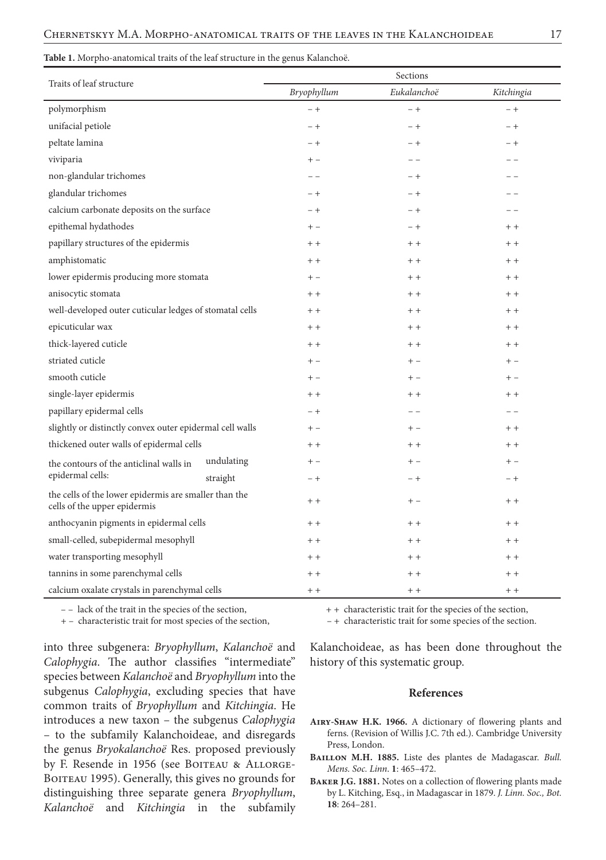#### **Table 1.** Morpho-anatomical traits of the leaf structure in the genus Kalanchoë.

| Traits of leaf structure                                                              |            | Sections    |             |            |
|---------------------------------------------------------------------------------------|------------|-------------|-------------|------------|
|                                                                                       |            | Bryophyllum | Eukalanchoë | Kitchingia |
| polymorphism                                                                          |            | $-+$        | $- +$       | $- +$      |
| unifacial petiole                                                                     |            | $-+$        | $-+$        | $-+$       |
| peltate lamina                                                                        |            | $-+$        | $-+$        | $-+$       |
| viviparia                                                                             |            | $+ -$       | $ -$        | - -        |
| non-glandular trichomes                                                               |            | $ -$        | $-+$        |            |
| glandular trichomes                                                                   |            | $-+$        | $-+$        | - -        |
| calcium carbonate deposits on the surface                                             |            | $-+$        | $-+$        | - -        |
| epithemal hydathodes                                                                  |            | $+ -$       | $-+$        | $+ +$      |
| papillary structures of the epidermis                                                 |            | $+ +$       | $+ +$       | $+ +$      |
| amphistomatic                                                                         |            | $+ +$       | $+ +$       | $+ +$      |
| lower epidermis producing more stomata                                                |            | $+ -$       | $+ +$       | $+ +$      |
| anisocytic stomata                                                                    |            | $+ +$       | $+ +$       | $+ +$      |
| well-developed outer cuticular ledges of stomatal cells                               |            | $+ +$       | $+ +$       | $+ +$      |
| epicuticular wax                                                                      |            | $+ +$       | $+ +$       | $+ +$      |
| thick-layered cuticle                                                                 |            | $+ +$       | $+ +$       | $+ +$      |
| striated cuticle                                                                      |            | $+ -$       | $+ -$       | $+ -$      |
| smooth cuticle                                                                        |            | $+ -$       | $+ -$       | $+ -$      |
| single-layer epidermis                                                                |            | $+ +$       | $+ +$       | $+ +$      |
| papillary epidermal cells                                                             |            | $-+$        | $ -$        | $ -$       |
| slightly or distinctly convex outer epidermal cell walls                              |            | $+ -$       | $+ -$       | $+ +$      |
| thickened outer walls of epidermal cells                                              |            | $+ +$       | $+ +$       | $+ +$      |
| the contours of the anticlinal walls in<br>epidermal cells:                           | undulating | $+ -$       | $+ -$       | $+ -$      |
|                                                                                       | straight   | $-+$        | $-+$        | $-+$       |
| the cells of the lower epidermis are smaller than the<br>cells of the upper epidermis |            | $+ +$       | $+ -$       | $+ +$      |
| anthocyanin pigments in epidermal cells                                               |            | $+ +$       | $++$        | $+ +$      |
| small-celled, subepidermal mesophyll                                                  |            | $+ +$       | $+ +$       | $+ +$      |
| water transporting mesophyll                                                          |            | $+ +$       | $+ +$       | $+ +$      |
| tannins in some parenchymal cells                                                     |            | $+ +$       | $+ +$       | $+ +$      |
| calcium oxalate crystals in parenchymal cells                                         |            | $+ +$       | $+ +$       | $+ +$      |

into three subgenera: *Bryophyllum*, *Kalanchoë* and *Calophygia*. The author classifies "intermediate" species between *Kalanchoë* and *Bryophyllum* into the subgenus *Calophygia*, excluding species that have common traits of *Bryophyllum* and *Kitchingia*. He introduces a new taxon – the subgenus *Calophygia* – to the subfamily Kalanchoideae, and disregards the genus *Bryokalanchoё* Res. proposed previously by F. Resende in 1956 (see BOITEAU & ALLORGE-BOITEAU 1995). Generally, this gives no grounds for distinguishing three separate genera *Bryophyllum*, *Kalanchoё* and *Kitchingia* in the subfamily

– – lack of the trait in the species of the section,  $++$  characteristic trait for the species of the section,

+ – characteristic trait for most species of the section, – + characteristic trait for some species of the section.

Kalanchoideae, as has been done throughout the history of this systematic group.

### **References**

- **Airy-Shaw H.K. 1966.** A dictionary of flowering plants and ferns. (Revision of Willis J.C. 7th ed.). Cambridge University Press, London.
- **Baillon M.H. 1885.** Liste des plantes de Madagascar. *Bull. Mens. Soc. Linn*. **1**: 465–472.
- **Baker J.G. 1881.** Notes on a collection of flowering plants made by L. Kitching, Esq., in Madagascar in 1879. *J. Linn. Soc., Bot.* **18**: 264–281.